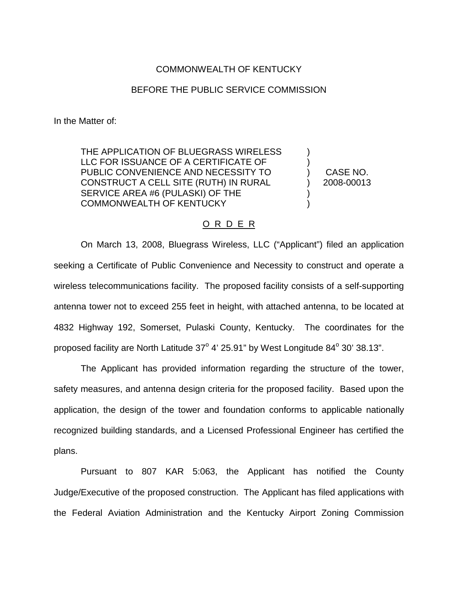## COMMONWEALTH OF KENTUCKY

## BEFORE THE PUBLIC SERVICE COMMISSION

In the Matter of:

THE APPLICATION OF BLUEGRASS WIRELESS LLC FOR ISSUANCE OF A CERTIFICATE OF PUBLIC CONVENIENCE AND NECESSITY TO CONSTRUCT A CELL SITE (RUTH) IN RURAL SERVICE AREA #6 (PULASKI) OF THE COMMONWEALTH OF KENTUCKY

CASE NO. 2008-00013

) ) ) ) ) )

## O R D E R

On March 13, 2008, Bluegrass Wireless, LLC ("Applicant") filed an application seeking a Certificate of Public Convenience and Necessity to construct and operate a wireless telecommunications facility. The proposed facility consists of a self-supporting antenna tower not to exceed 255 feet in height, with attached antenna, to be located at 4832 Highway 192, Somerset, Pulaski County, Kentucky. The coordinates for the proposed facility are North Latitude  $37^{\circ}$  4' 25.91" by West Longitude  $84^{\circ}$  30' 38.13".

The Applicant has provided information regarding the structure of the tower, safety measures, and antenna design criteria for the proposed facility. Based upon the application, the design of the tower and foundation conforms to applicable nationally recognized building standards, and a Licensed Professional Engineer has certified the plans.

Pursuant to 807 KAR 5:063, the Applicant has notified the County Judge/Executive of the proposed construction. The Applicant has filed applications with the Federal Aviation Administration and the Kentucky Airport Zoning Commission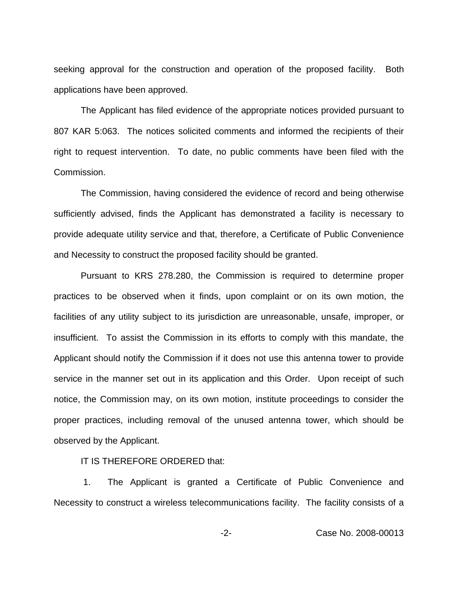seeking approval for the construction and operation of the proposed facility. Both applications have been approved.

The Applicant has filed evidence of the appropriate notices provided pursuant to 807 KAR 5:063. The notices solicited comments and informed the recipients of their right to request intervention. To date, no public comments have been filed with the Commission.

The Commission, having considered the evidence of record and being otherwise sufficiently advised, finds the Applicant has demonstrated a facility is necessary to provide adequate utility service and that, therefore, a Certificate of Public Convenience and Necessity to construct the proposed facility should be granted.

Pursuant to KRS 278.280, the Commission is required to determine proper practices to be observed when it finds, upon complaint or on its own motion, the facilities of any utility subject to its jurisdiction are unreasonable, unsafe, improper, or insufficient. To assist the Commission in its efforts to comply with this mandate, the Applicant should notify the Commission if it does not use this antenna tower to provide service in the manner set out in its application and this Order. Upon receipt of such notice, the Commission may, on its own motion, institute proceedings to consider the proper practices, including removal of the unused antenna tower, which should be observed by the Applicant.

## IT IS THEREFORE ORDERED that:

1. The Applicant is granted a Certificate of Public Convenience and Necessity to construct a wireless telecommunications facility. The facility consists of a

-2- Case No. 2008-00013